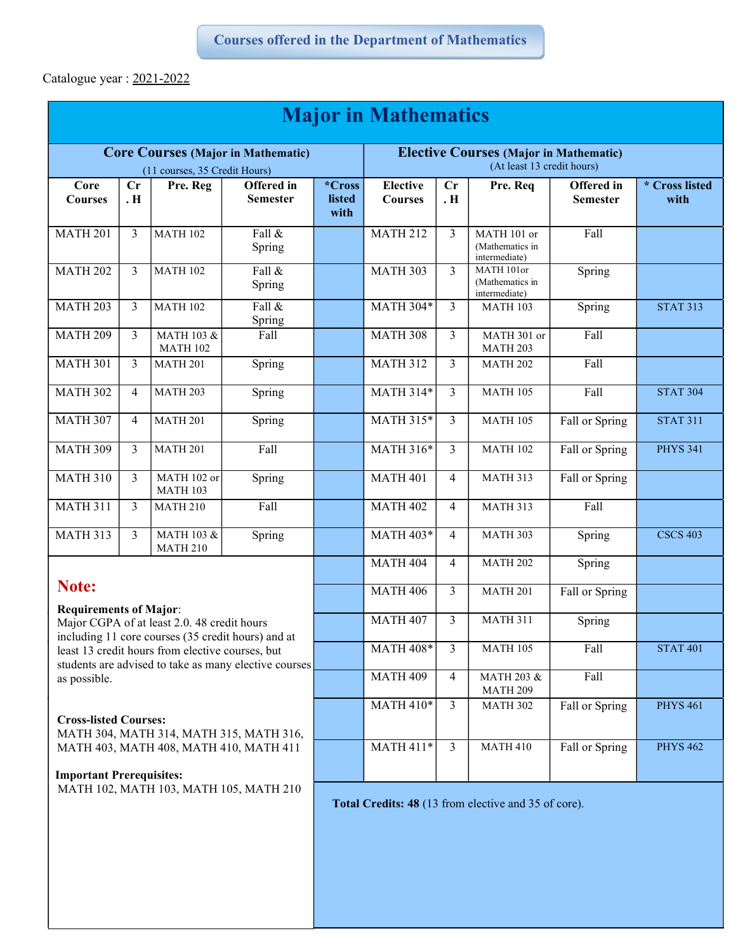Catalogue year : 2021-2022

| <b>Major in Mathematics</b>                                                                                                                                                                                                                                              |                  |                                |                               |                          |                                                                             |                |                                                      |                                      |                        |  |
|--------------------------------------------------------------------------------------------------------------------------------------------------------------------------------------------------------------------------------------------------------------------------|------------------|--------------------------------|-------------------------------|--------------------------|-----------------------------------------------------------------------------|----------------|------------------------------------------------------|--------------------------------------|------------------------|--|
| <b>Core Courses (Major in Mathematic)</b><br>(11 courses, 35 Credit Hours)                                                                                                                                                                                               |                  |                                |                               |                          | <b>Elective Courses (Major in Mathematic)</b><br>(At least 13 credit hours) |                |                                                      |                                      |                        |  |
| Core<br><b>Courses</b>                                                                                                                                                                                                                                                   | Cr<br><b>. H</b> | Pre. Reg                       | Offered in<br><b>Semester</b> | *Cross<br>listed<br>with | <b>Elective</b><br><b>Courses</b>                                           | Cr<br>. H      | Pre. Req                                             | <b>Offered</b> in<br><b>Semester</b> | * Cross listed<br>with |  |
| <b>MATH 201</b>                                                                                                                                                                                                                                                          | 3                | <b>MATH 102</b>                | Fall &<br>Spring              |                          | <b>MATH 212</b>                                                             | $\overline{3}$ | MATH 101 or<br>(Mathematics in<br>intermediate)      | Fall                                 |                        |  |
| <b>MATH 202</b>                                                                                                                                                                                                                                                          | 3                | <b>MATH 102</b>                | Fall &<br>Spring              |                          | <b>MATH 303</b>                                                             | 3              | MATH 101or<br>(Mathematics in<br>intermediate)       | Spring                               |                        |  |
| <b>MATH 203</b>                                                                                                                                                                                                                                                          | 3                | <b>MATH 102</b>                | Fall &<br>Spring              |                          | <b>MATH 304*</b>                                                            | 3              | <b>MATH 103</b>                                      | Spring                               | <b>STAT 313</b>        |  |
| <b>MATH 209</b>                                                                                                                                                                                                                                                          | 3                | MATH 103 &<br><b>MATH 102</b>  | Fall                          |                          | <b>MATH 308</b>                                                             | 3              | MATH 301 or<br>MATH <sub>203</sub>                   | Fall                                 |                        |  |
| <b>MATH 301</b>                                                                                                                                                                                                                                                          | 3                | <b>MATH 201</b>                | Spring                        |                          | <b>MATH 312</b>                                                             | $\overline{3}$ | <b>MATH 202</b>                                      | Fall                                 |                        |  |
| <b>MATH 302</b>                                                                                                                                                                                                                                                          | $\overline{4}$   | <b>MATH 203</b>                | Spring                        |                          | $MATH 314*$                                                                 | 3              | <b>MATH 105</b>                                      | Fall                                 | <b>STAT 304</b>        |  |
| <b>MATH 307</b>                                                                                                                                                                                                                                                          | $\overline{4}$   | <b>MATH 201</b>                | Spring                        |                          | MATH 315*                                                                   | $\mathfrak{Z}$ | <b>MATH 105</b>                                      | Fall or Spring                       | <b>STAT 311</b>        |  |
| <b>MATH 309</b>                                                                                                                                                                                                                                                          | 3                | <b>MATH 201</b>                | Fall                          |                          | MATH 316*                                                                   | $\overline{3}$ | <b>MATH 102</b>                                      | Fall or Spring                       | <b>PHYS 341</b>        |  |
| <b>MATH 310</b>                                                                                                                                                                                                                                                          | 3                | MATH 102 or<br><b>MATH 103</b> | Spring                        |                          | <b>MATH 401</b>                                                             | 4              | <b>MATH 313</b>                                      | Fall or Spring                       |                        |  |
| <b>MATH 311</b>                                                                                                                                                                                                                                                          | 3                | <b>MATH 210</b>                | Fall                          |                          | <b>MATH 402</b>                                                             | $\overline{4}$ | <b>MATH 313</b>                                      | Fall                                 |                        |  |
| <b>MATH 313</b>                                                                                                                                                                                                                                                          | 3                | MATH 103 &<br><b>MATH 210</b>  | Spring                        |                          | MATH 403*                                                                   | 4              | <b>MATH 303</b>                                      | Spring                               | <b>CSCS 403</b>        |  |
| Note:<br><b>Requirements of Major:</b><br>Major CGPA of at least 2.0. 48 credit hours<br>including 11 core courses (35 credit hours) and at<br>least 13 credit hours from elective courses, but<br>students are advised to take as many elective courses<br>as possible. |                  |                                |                               |                          | <b>MATH 404</b>                                                             | 4              | <b>MATH 202</b>                                      | Spring                               |                        |  |
|                                                                                                                                                                                                                                                                          |                  |                                |                               |                          | <b>MATH 406</b>                                                             | 3              | <b>MATH 201</b>                                      | Fall or Spring                       |                        |  |
|                                                                                                                                                                                                                                                                          |                  |                                |                               |                          | <b>MATH 407</b>                                                             | 3              | <b>MATH 311</b>                                      | Spring                               |                        |  |
|                                                                                                                                                                                                                                                                          |                  |                                |                               |                          | <b>MATH 408*</b>                                                            | 3              | <b>MATH 105</b>                                      | Fall                                 | <b>STAT 401</b>        |  |
|                                                                                                                                                                                                                                                                          |                  |                                |                               |                          | <b>MATH 409</b>                                                             | $\overline{4}$ | MATH 203 &<br><b>MATH 209</b>                        | Fall                                 |                        |  |
| <b>Cross-listed Courses:</b><br>MATH 304, MATH 314, MATH 315, MATH 316,<br>MATH 403, MATH 408, MATH 410, MATH 411<br><b>Important Prerequisites:</b><br>MATH 102, MATH 103, MATH 105, MATH 210                                                                           |                  |                                |                               |                          | <b>MATH 410*</b>                                                            | $\mathfrak{Z}$ | <b>MATH 302</b>                                      | Fall or Spring                       | <b>PHYS 461</b>        |  |
|                                                                                                                                                                                                                                                                          |                  |                                |                               |                          | <b>MATH 411*</b>                                                            | $\mathfrak{Z}$ | <b>MATH 410</b>                                      | Fall or Spring                       | <b>PHYS 462</b>        |  |
|                                                                                                                                                                                                                                                                          |                  |                                |                               |                          |                                                                             |                | Total Credits: 48 (13 from elective and 35 of core). |                                      |                        |  |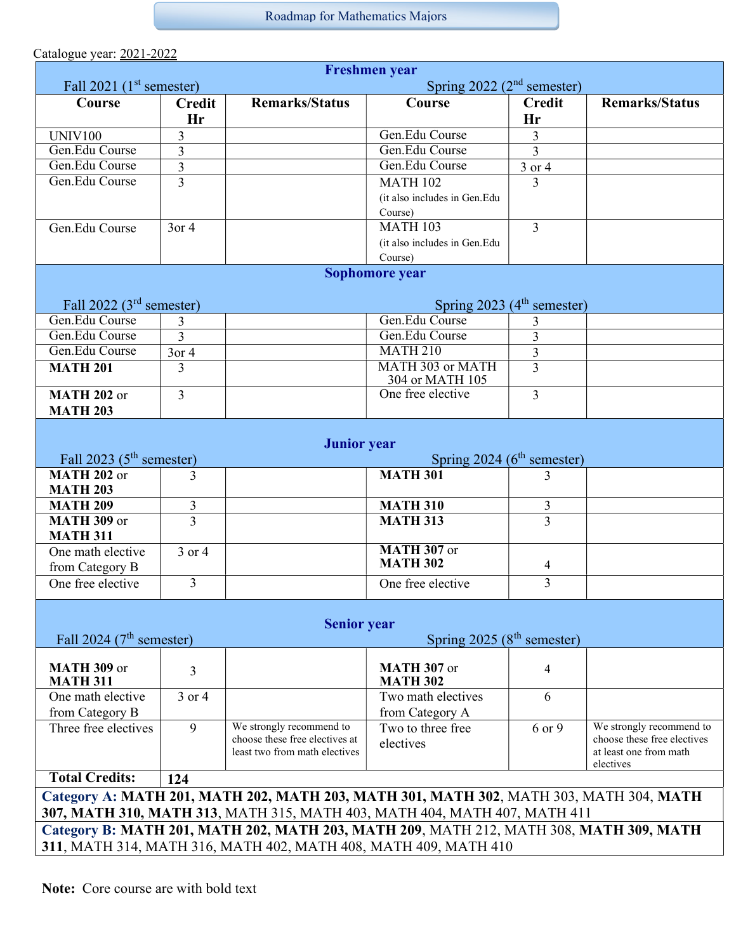Roadmap for Mathematics Majors

Catalogue year: 2021-2022

| <b>Freshmen</b> year                                                                                                                                                |                                                                       |                                                                                             |                                         |                         |                                                                                                |  |  |  |  |  |
|---------------------------------------------------------------------------------------------------------------------------------------------------------------------|-----------------------------------------------------------------------|---------------------------------------------------------------------------------------------|-----------------------------------------|-------------------------|------------------------------------------------------------------------------------------------|--|--|--|--|--|
| Fall $2021$ (1 <sup>st</sup> semester)                                                                                                                              |                                                                       | Spring $2022 (2nd$ semester)                                                                |                                         |                         |                                                                                                |  |  |  |  |  |
| Course                                                                                                                                                              | <b>Credit</b><br>Hr                                                   | <b>Remarks/Status</b>                                                                       | Course                                  | <b>Credit</b><br>Hr     | <b>Remarks/Status</b>                                                                          |  |  |  |  |  |
| <b>UNIV100</b>                                                                                                                                                      | 3                                                                     |                                                                                             | Gen.Edu Course                          | $\mathfrak{Z}$          |                                                                                                |  |  |  |  |  |
| Gen.Edu Course                                                                                                                                                      | 3                                                                     |                                                                                             | Gen.Edu Course                          | $\overline{3}$          |                                                                                                |  |  |  |  |  |
| Gen.Edu Course                                                                                                                                                      | $\overline{3}$                                                        |                                                                                             | Gen.Edu Course                          | 3 or 4                  |                                                                                                |  |  |  |  |  |
| Gen.Edu Course                                                                                                                                                      | $\overline{3}$                                                        |                                                                                             | <b>MATH 102</b>                         | $\overline{3}$          |                                                                                                |  |  |  |  |  |
|                                                                                                                                                                     |                                                                       |                                                                                             | (it also includes in Gen.Edu<br>Course) |                         |                                                                                                |  |  |  |  |  |
| Gen.Edu Course                                                                                                                                                      | $3$ or 4                                                              |                                                                                             | <b>MATH 103</b>                         | $\overline{3}$          |                                                                                                |  |  |  |  |  |
|                                                                                                                                                                     |                                                                       |                                                                                             | (it also includes in Gen.Edu            |                         |                                                                                                |  |  |  |  |  |
|                                                                                                                                                                     |                                                                       |                                                                                             | Course)                                 |                         |                                                                                                |  |  |  |  |  |
| Sophomore year                                                                                                                                                      |                                                                       |                                                                                             |                                         |                         |                                                                                                |  |  |  |  |  |
|                                                                                                                                                                     | Fall 2022 ( $3rd$ semester)<br>Spring 2023 (4 <sup>th</sup> semester) |                                                                                             |                                         |                         |                                                                                                |  |  |  |  |  |
| Gen.Edu Course                                                                                                                                                      | 3                                                                     |                                                                                             | Gen.Edu Course                          | 3                       |                                                                                                |  |  |  |  |  |
| Gen.Edu Course                                                                                                                                                      | 3                                                                     |                                                                                             | Gen.Edu Course                          | 3                       |                                                                                                |  |  |  |  |  |
| Gen.Edu Course                                                                                                                                                      | $\overline{3}$ or 4                                                   |                                                                                             | <b>MATH 210</b>                         | $\overline{\mathbf{3}}$ |                                                                                                |  |  |  |  |  |
| <b>MATH 201</b>                                                                                                                                                     | 3                                                                     |                                                                                             | MATH 303 or MATH<br>304 or MATH 105     | $\overline{3}$          |                                                                                                |  |  |  |  |  |
| <b>MATH 202 or</b><br><b>MATH 203</b>                                                                                                                               | $\overline{3}$                                                        |                                                                                             | One free elective                       | $\overline{3}$          |                                                                                                |  |  |  |  |  |
| Fall 2023 ( $5th$ semester)                                                                                                                                         |                                                                       | <b>Junior</b> year                                                                          | Spring 2024 (6 <sup>th</sup> semester)  |                         |                                                                                                |  |  |  |  |  |
| MATH $202$ or<br><b>MATH 203</b>                                                                                                                                    | 3                                                                     |                                                                                             | <b>MATH 301</b>                         | 3                       |                                                                                                |  |  |  |  |  |
| <b>MATH 209</b>                                                                                                                                                     | 3                                                                     |                                                                                             | <b>MATH 310</b>                         | 3                       |                                                                                                |  |  |  |  |  |
| <b>MATH 309 or</b><br><b>MATH 311</b>                                                                                                                               | $\overline{3}$                                                        |                                                                                             | <b>MATH 313</b>                         | 3                       |                                                                                                |  |  |  |  |  |
| One math elective                                                                                                                                                   | 3 or 4                                                                |                                                                                             | <b>MATH 307 or</b>                      |                         |                                                                                                |  |  |  |  |  |
| from Category B                                                                                                                                                     |                                                                       |                                                                                             | <b>MATH 302</b>                         | 4                       |                                                                                                |  |  |  |  |  |
| One free elective                                                                                                                                                   | $\overline{3}$                                                        |                                                                                             | One free elective                       | 3                       |                                                                                                |  |  |  |  |  |
|                                                                                                                                                                     |                                                                       | <b>Senior year</b>                                                                          |                                         |                         |                                                                                                |  |  |  |  |  |
|                                                                                                                                                                     | Fall 2024 ( $7th$ semester)<br>Spring $2025(8th$ semester)            |                                                                                             |                                         |                         |                                                                                                |  |  |  |  |  |
| <b>MATH 309 or</b><br><b>MATH 311</b>                                                                                                                               | $\overline{3}$                                                        |                                                                                             | MATH 307 or<br><b>MATH 302</b>          | 4                       |                                                                                                |  |  |  |  |  |
| One math elective<br>from Category B                                                                                                                                | 3 or 4                                                                |                                                                                             | Two math electives<br>from Category A   | 6                       |                                                                                                |  |  |  |  |  |
| Three free electives                                                                                                                                                | 9                                                                     | We strongly recommend to<br>choose these free electives at<br>least two from math electives | Two to three free<br>electives          | 6 or 9                  | We strongly recommend to<br>choose these free electives<br>at least one from math<br>electives |  |  |  |  |  |
| <b>Total Credits:</b><br>124                                                                                                                                        |                                                                       |                                                                                             |                                         |                         |                                                                                                |  |  |  |  |  |
| Category A: MATH 201, MATH 202, MATH 203, MATH 301, MATH 302, MATH 303, MATH 304, MATH<br>307, MATH 310, MATH 313, MATH 315, MATH 403, MATH 404, MATH 407, MATH 411 |                                                                       |                                                                                             |                                         |                         |                                                                                                |  |  |  |  |  |
| Category B: MATH 201, MATH 202, MATH 203, MATH 209, MATH 212, MATH 308, MATH 309, MATH                                                                              |                                                                       |                                                                                             |                                         |                         |                                                                                                |  |  |  |  |  |
| 311, MATH 314, MATH 316, MATH 402, MATH 408, MATH 409, MATH 410                                                                                                     |                                                                       |                                                                                             |                                         |                         |                                                                                                |  |  |  |  |  |